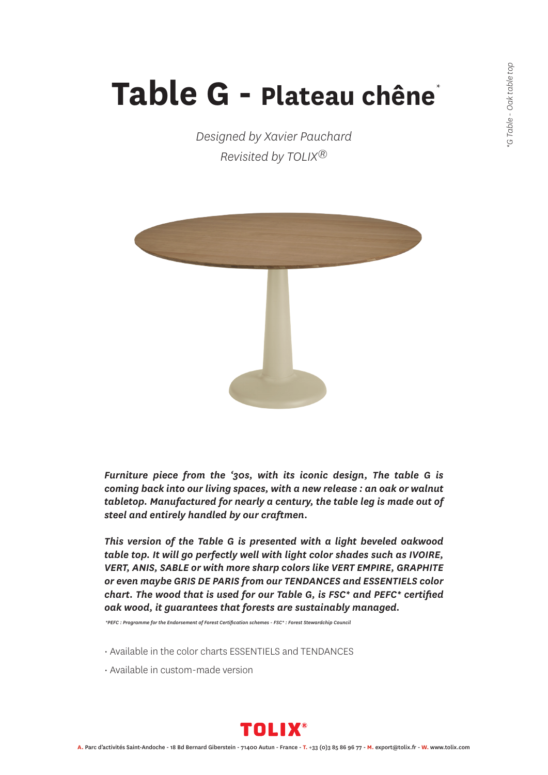## **Table G - Plateau chêne** \*

*Designed by Xavier Pauchard Revisited by TOLIX®*



*Furniture piece from the '30s, with its iconic design, The table G is coming back into our living spaces, with a new release : an oak or walnut tabletop. Manufactured for nearly a century, the table leg is made out of steel and entirely handled by our craftmen.*

*This version of the Table G is presented with a light beveled oakwood table top. It will go perfectly well with light color shades such as IVOIRE, VERT, ANIS, SABLE or with more sharp colors like VERT EMPIRE, GRAPHITE or even maybe GRIS DE PARIS from our TENDANCES and ESSENTIELS color chart. The wood that is used for our Table G, is FSC\* and PEFC\* certified oak wood, it guarantees that forests are sustainably managed.*

 *\*PEFC : Programme for the Endorsement of Forest Certification schemes - FSC\* : Forest Stewardchip Council*

- Available in the color charts ESSENTIELS and TENDANCES
- Available in custom-made version